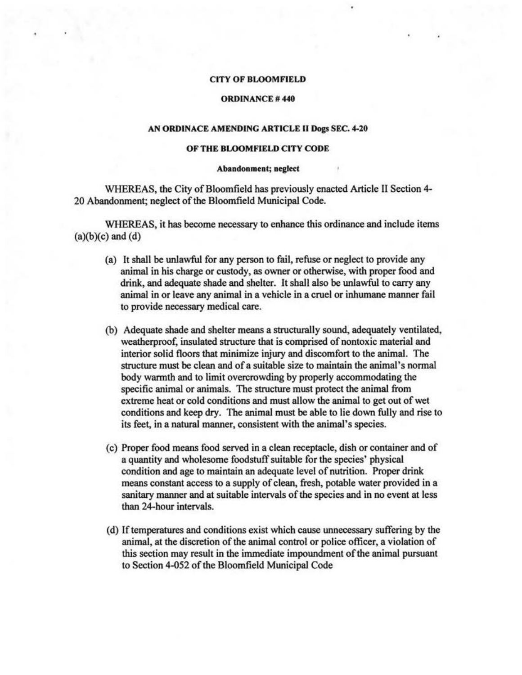## CITY OF BLOOMFIELD

# ORDINANCE# 440

### AN ORDINACE AMENDING ARTICLE II Dogs SEC. 4-20

#### OF THE BLOOMFIELD CITY CODE

#### Abandonment; neglect

WHEREAS, the City of Bloomfield has previously enacted Article II Section 4- 20 Abandonment; neglect of the Bloomfield Municipal Code.

WHEREAS, it has become necessary to enhance this ordinance and include items  $(a)(b)(c)$  and  $(d)$ 

- (a) It shall be unlawful for any person to fail, refuse or neglect to provide any animal in his charge or custody, as owner or otherwise, with proper food and drink, and adequate shade and shelter. It shall also be unlawful to carry any animal in or leave any animal in a vehicle in a cruel or inhumane manner fail to provide necessary medical care.
- (b) Adequate shade and shelter means a structurally sound, adequately ventilated, weatherproof, insulated structure that is comprised of nontoxic material and interior solid floors that minimize injury and discomfort to the animal. The structure must be clean and of a suitable size to maintain the animal's normal body warmth and to limit overcrowding by properly accommodating the specific animal or animals. The structure must protect the animal from extreme heat or cold conditions and must allow the animal to get out of wet conditions and keep dry. The animal must be able to lie down fully and rise to its feet, in a natural manner, consistent with the animal's species.
- ( c) Proper food means food served in a clean receptacle, dish or container and of a quantity and wholesome foodstuff suitable for the species' physical condition and age to maintain an adequate level of nutrition. Proper drink means constant access to a supply of clean, fresh, potable water provided in a sanitary manner and at suitable intervals of the species and in no event at less than 24-hour intervals.
- ( d) If temperatures and conditions exist which cause unnecessary suffering by the animal, at the discretion of the animal control or police officer, a violation of this section may result in the immediate impoundment of the animal pursuant to Section 4-052 of the Bloomfield Municipal Code